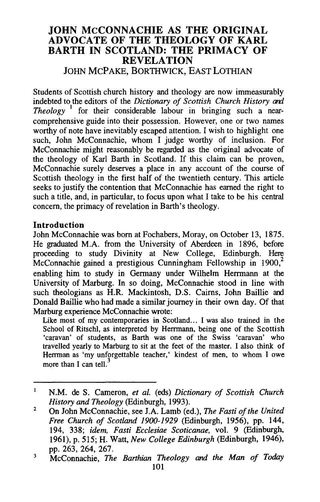# **JOHN McCONNACHIE AS THE ORIGINAL ADVOCATE OF THE THEOLOGY OF KARL BARTH IN SCOTLAND: THE PRIMACY OF REVELATION**  JOHN MCPAKE, BORTHWICK, EAST LOTHIAN

Students of Scottish church history and theology are now immeasurably indebted to the editors of the *Dictionary of Scottish Church History curl Theology*<sup>1</sup> for their considerable labour in bringing such a nearcomprehensive guide into their possession. However, one or two names worthy of note have inevitably escaped attention. I wish to highlight one such, John McConnachie, whom I judge worthy of inclusion. For McConnachie might reasonably be regarded as the original advocate of the theology of Karl Barth in Scotland. If this claim can be proven, McConnachie surely deserves a place in any account of the course of Scottish theology in the first half of the twentieth century. This article seeks to justify the contention that McConnachie has earned the right to such a title, and, in particular, to focus upon what I take to be his central concern, the primacy of revelation in Barth's theology.

### **Introduction**

John McConnachie was born at Fochabers, Moray, on October 13, 1875. He graduated M.A. from the University of Aberdeen in 1896, before proceeding to study Divinity at New College, Edinburgh. Here McConnachie gained a prestigious Cunningham Fellowship in  $1900$ ,<sup>2</sup> enabling him to study in Germany under Wilhelm Herrmann at the University of Marburg. In so doing, McConnachie stood in line with such theologians as H.R. Mackintosh, D.S. Cairns, John Baillie and Donald Baillie who had made a similar journey in their own day. Of that Marburg experience McConnachie wrote:

Like most of my contemporaries in Scotland... I was also trained in the School of Ritschl, as interpreted by Herrmann, being one of the Scottish 'caravan' of students, as Barth was one of the Swiss 'caravan' who travelled yearly to Marburg to sit at the feet of the master. I also think of Herrman as 'my unforgettable teacher,' kindest of men, to whom I owe more than I can tell. $3$ 

 $\mathbf{1}$ N.M. de S. Cameron, *et al.* (eds) *Dictionary of Scottish Church History and Theology* (Edinburgh, 1993).

 $\overline{2}$ On John McConnachie, see J.A. Lamb (ed.), *The Fasti of the United Free Church of Scotland 1900-1929* (Edinburgh, 1956), pp. 144, 194, 338; *idem, Fasti Ecclesiae Scoticanae,* vol. 9 (Edinburgh, 1961), p. 515; H. Watt, *New College Edinburgh* (Edinburgh, 1946), pp. 263, 264, 267.

 $\overline{\mathbf{3}}$ McConnachie, *The Barthian Theology* and *the Man of Today*  101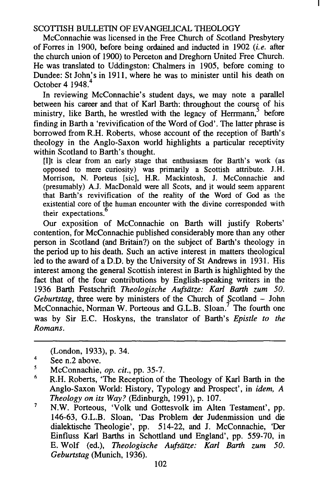McConnachie was licensed in the Free Church of Scotland Presbytery ofForres in 1900, before being ordained and inducted in 1902 *(i.e.* after the church union of 1900) to Perceton and Dreghorn United Free Church. He was translated to Uddingston: Chalmers in 1905, before coming to Dundee: St John's in 1911, where he was to minister until his death on October 4 1948.<sup>4</sup>

In reviewing McConnachie's student days, we may note a parallel between his career and that of Karl Barth: throughout the course of his ministry, like Barth, he wrestled with the legacy of Herrmann, before finding in Barth a 'revivification of the Word of God'. The latter phrase is borrowed from R.H. Roberts, whose account of the reception of Barth's theology in the Anglo-Saxon world highlights a particular receptivity within Scotland to Barth's thought.

[l]t is clear from an early stage that enthusiasm for Barth's work (as opposed to mere curiosity) was primarily a Scottish attribute. J.H. Morrison, N. Porteus [sic], H.R. Mackintosh, J. McConnachie and (presumably) A.J. MacDonald were all Scots, and it would seem apparent that Barth's revivification of the reality of the Word of God as the existential core of the human encounter with the divine corresponded with their expectations.<sup>6</sup>

Our exposition of McConnachie on Barth will justify Roberts' contention, for McConnachie published considerably more than any other person in Scotland (and Britain?) on the subject of Barth's theology in the period up to his death. Such an active interest in matters theological led to the award of a D.D. by the University of St Andrews in 1931. His interest among the general Scottish interest in Barth is highlighted by the fact that of the four contributions by English-speaking writers in the 1936 Barth Festschrift *Theologische Aufsiitze: Kart Barth zum 50. Geburtstag,* three were by ministers of the Church of Scotland - John McConnachie, Norman W. Porteous and G.L.B. Sloan.<sup>7</sup> The fourth one was by Sir E.C. Hoskyns, the translator of Barth's *Epistle to the Romans.* 

(London, 1933), p. 34.

 $\ddot{\phantom{a}}$ See n.2 above.

<sup>5</sup> McConnachie, *op. cit.,* pp. 35-7.

<sup>6</sup>  R.H. Roberts, 'The Reception of the Theology of Karl Barth in the Anglo-Saxon World: History, Typology and Prospect', in *idem, A Theology on its Way?* (Edinburgh, 1991), p. 107.

 $\pmb{7}$ N.W. Porteous, 'Volk und Gottesvolk im Alten Testament', pp. 146-63, G.L.B. Sloan, 'Das Problem der Judenmission und die dialektische Theologie', pp. 514-22, and J. McConnachie, 'Der Einfluss Karl Barths in Schottland und England', pp. 559-70, in E. Wolf (ed.), *Theologische Aufsiitze: Kart Barth zum 50. Geburtstag* (Munich, 1936).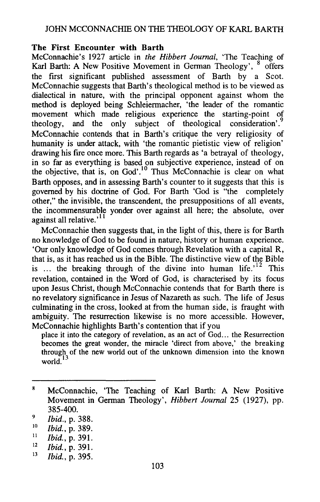## **The First Encounter with Barth**

McConnachie's 1927 article in *the Hibbert Journal,* 'The Teaching of Karl Barth: A New Positive Movement in German Theology', <sup>8</sup> offers the first significant published assessment of Barth by a Scot. McConnachie suggests that Barth's theological method is to be viewed as dialectical in nature, with the principal opponent against whom the method is deployed being Schleiermacher, 'the leader of the romantic movement which made religious experience the starting-point of theology, and the only subject of theological consideration'.<sup>9</sup> McConnachie contends that in Barth's critique the very religiosity of humanity is under attack, with 'the romantic pietistic view of religion' drawing his fire once more. This Barth regards as 'a betrayal of theology, in so far as everything is based on subjective experience, instead of on the objective, that is, on God'.<sup>10</sup> Thus McConnachie is clear on what Barth opposes, and in assessing Barth's counter to it suggests that this is governed by his doctrine of God. For Barth 'God is "the completely other," the invisible, the transcendent, the presuppositions of all events, the incommensurable yonder over against all here; the absolute, over against all relative.<sup>11</sup>

McConnachie then suggests that, in the light of this, there is for Barth no knowledge of God to be found in nature, history or human experience. 'Our only knowledge of God comes through Revelation with a capital R, that is, as it has reached us in the Bible. The distinctive view of the Bible is ... the breaking through of the divine into human  $\text{life.}^{12}$  This revelation, contained in the Word of God, is characterised by its focus upon Jesus Christ, though McConnachie contends that for Barth there is no revelatory significance in Jesus of Nazareth as such. The life of Jesus culminating in the cross, looked at from the human side, is fraught with ambiguity. The resurrection likewise is no more accessible. However, McConnachie highlights Barth's contention that if you

place it into the category of revelation, as an act of God... the Resurrection becomes the great wonder, the miracle 'direct from above,' the breaking through of the new world out of the unknown dimension into the known world. $^{13}$ 

 ${\bf 8}$ McConnachie, 'The Teaching of Kart Barth: A New Positive Movement in German Theology', *Hibbert Journal* 25 (1927), pp. 385-400.

<sup>9</sup>  *Ibid.,* p. 388.

<sup>10</sup>  *Ibid.,* p. 389.

<sup>11</sup>  *Ibid.,* p. 391.

<sup>12</sup>  *Ibid.,* p. 391.

<sup>13</sup>  *Ibid.,* p. 395.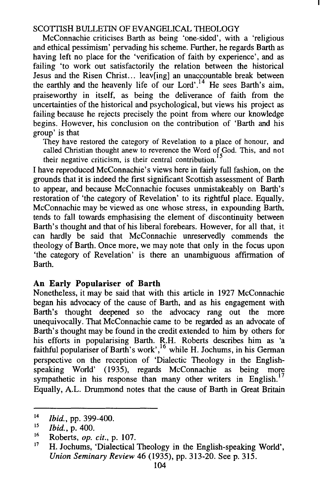McConnachie criticises Barth as being 'one-sided', with a 'religious and ethical pessimism' pervading his scheme. Further, he regards Barth as having left no place for the 'verification of faith by experience', and as failing 'to work out satisfactorily the relation between the historical Jesus and the Risen Christ... leav[ing] an unaccountable break between the earthly and the heavenly life of our Lord'.<sup>14</sup> He sees Barth's aim, praiseworthy in itself, as being the deliverance of faith from the uncertainties of the historical and psychological, but views his project as failing because he rejects precisely the point from where our knowledge begins. However, his conclusion on the contribution of 'Barth and his group' is that

They have restored the category of Revelation to a place of honour, and called Christian thought anew to reverence the Word of God. This, and not their negative criticism, is their central contribution.<sup>15</sup>

I have reproduced McConnachie's views here in fairly full fashion, on the grounds that it is indeed the first significant Scottish assessment of Barth to appear, and because McConnachie focuses unmistakeably on Barth's restoration of 'the category of Revelation' to its rightful place. Equally, McConnachie may be viewed as one whose stress, in expounding Barth, tends to fall towards emphasising the element of discontinuity between Barth's thought and that of his liberal forebears. However, for all that, it can hardly be said that McConnachie unreservedly commends the theology of Barth. Once more, we may note that only in the focus upon 'the category of Revelation' is there an unambiguous affirmation of Barth.

## **An Early Populariser of Barth**

Nonetheless, it may be said that with this article in 1927 McConnachie began his advocacy of the cause of Barth, and as his engagement with Barth's thought deepened so the advocacy rang out the more unequivocally. That McConnachie came to be regarded as an advocate of Barth's thought may be found in the credit extended to him by others for his efforts in popularising Barth. R.H. Roberts describes him as 'a faithful populariser of Barth's work',<sup>16</sup> while H. Jochums, in his German perspective on the reception of 'Dialectic Theology in the Englishspeaking World' (1935), regards McConnachie as being more sympathetic in his response than many other writers in English.<sup>17</sup> Equally, A.L. Drummond notes that the cause of Barth in Great Britain

<sup>14</sup>  *Ibid.,* pp. 399-400.

<sup>15</sup>  *Ibid.,* p. 400.

<sup>16</sup>  Roberts, *op. cit.,* p. 107.

<sup>17</sup>  H. Jochums, 'Dialectical Theology in the English-speaking World', *Union Seminary Review* 46 (1935), pp. 313-20. Seep. 315.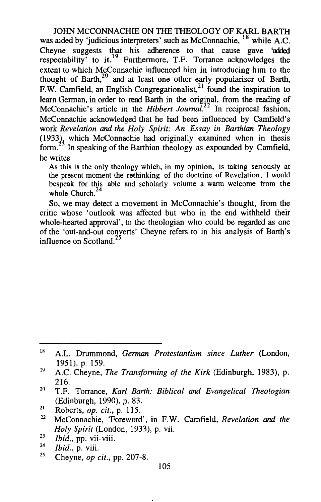JOHN MCCONNACHIE ON THE THEOLOGY OF KARL BARTH was aided by 'judicious interpreters' such as McConnachie, <sup>18</sup> while A.C. Cheyne suggests that his adherence to that cause gave 'added expectability' to it.<sup>19</sup> Furthermore, T.F. Torrance acknowledges the extent to which McConnachie influenced him in introducing him to the thought of Barth,<sup>20</sup> and at least one other early populariser of Barth, F.W. Camfield, an English Congregationalist,  $21 \text{ found}$  the inspiration to learn German, in order to read Barth in the original, from the reading of McConnachie's article in the *Hibbert Journal*<sup>22</sup> In reciprocal fashion, McConnachie acknowledged that he had been influenced by Camfield's work *Revelation and the Holy Spirit: An Essay in Barthian Theology*   $(1933)<sub>3</sub>$  which McConnachie had originally examined when in thesis form.<sup>23</sup> In speaking of the Barthian theology as expounded by Camfield, he writes

As this is the only theology which, in my opinion, is taking seriously at the present moment the rethinking of the doctrine of Revelation, I would bespeak for this able and scholarly volume a warm welcome from the whole Church.<sup>24</sup>

So, we may detect a movement in McConnachie's thought, from the critic whose 'outlook was affected but who in the end withheld their whole-hearted approval', to the theologian who could be regarded as one of the 'out-and-out converts' Cheyne refers to in his analysis of Barth's influence on Scotland.<sup>25</sup>

- 
- 
- 

IR A.L. Drummond, *German Protestantism since Luther* (London, 1951), p. 159.

<sup>19</sup>  A.C. Cheyne, *The Transforming of the Kirk* (Edinburgh, 1983), p. 216. 20 T.F. Torrance, *Karl Earth: Biblical and Evangelical Theologian* 

<sup>(</sup>Edinburgh, 1990), p. 83. 21 Roberts, *op. cit.,* p. 115. 22 McConnachie, 'Foreword', in F.W. Camfield, *Revelation and the* 

*Holy Spirit* (London, 1933), p. vii.<br>
<sup>23</sup> *Ibid.*, p. viii.<br>
<sup>24</sup> *Ibid.*, p. viii.<br>
<sup>25</sup> Cheyne, *op cit.*, pp. 207-8.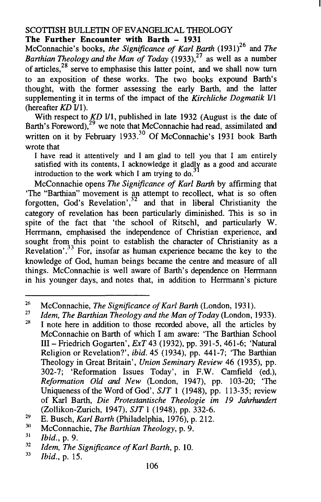#### SCOTTISH BULLETIN OF EVANGELICAL THEOLOGY **The Further Encounter with Barth - 1931**

McConnachie's books, *the Significance of Karl Barth* (1931)<sup>26</sup> and *The Barthian Theology and the Man of Today* (1933), $27$  as well as a number of articles, $28$  serve to emphasise this latter point, and we shall now turn to an exposition of these works. The two books expound Barth's thought, with the former assessing the early Barth, and the latter supplementing it in terms of the impact of the *Kirchliche Dogmatik* Ill (hereafter *KD* Ill).

With respect to *KD V*1, published in late 1932 (August is the date of Barth's Foreword), $^{29}$  we note that McConnachie had read, assimilated and written on it by February 1933.<sup>30</sup> Of McConnachie's 1931 book Barth wrote that

I have read it attentively and I am glad to tell you that I am entirely satisfied with its contents, I acknowledge it gladly as a good and accurate introduction to the work which I am trying to *do?* 

McConnachie opens *The Significance of Karl Barth* by affirming that 'The "Barthian" movement is an attempt to recollect, what is so often forgotten, God's Revelation',<sup>32</sup> and that in liberal Christianity the category of revelation has been particularly diminished. This is so in spite of the fact that 'the school of Ritschl, and particularly W. Herrmann, emphasised the independence of Christian experience, and sought from this point to establish the character of Christianity as a Revelation' *?3* For, insofar as human experience became the key to the knowledge of God, human beings became the centre and measure of all things. McConnachie is well aware of Barth's dependence on Herrrnann in his younger days, and notes that, in addition to Herrmann's picture

<sup>26</sup>  McConnachie, *The Significance of Karl Barth* (London, 1931).

<sup>27</sup>  *Idem, The Barthian Theology and the Man of Today (London, 1933).* 

<sup>2</sup>R I note here in addition to those recorded above, all the articles by McConnachie on Barth of which I am aware: 'The Barthian School Ill- Friedrich Gogarten', *ExT* 43 (1932), pp. 391-5, 461-6; 'Natural Religion or Revelation?', *ibid.* 45 (1934), pp. 441-7; 'The Barthian Theology in Great Britain', *Union Seminary Review* 46 (1935), pp. 302-7; 'Reformation Issues Today', in F.W. Camfield (ed.), *Reformation Old* and *New* (London, 1947), pp. 103-20; 'The Uniqueness of the Word of God', *SJT* 1 (1948), pp. 113-35; review of Karl Barth, *Die Protestantische Theologie im 19 Jahrhundert*  (Zollikon-Zurich, 1947), *SJT* 1 (1948), pp. 332-6.

<sup>29</sup>  E. Busch, *Karl Barth* (Philadelphia, 1976), p. 212.

<sup>30</sup>  McConnachie, *The Barthian Theology,* p. 9.

<sup>31</sup>  *Ibid.,* p. 9.

<sup>32</sup>  *Idem, The Significance of Karl Barth,* p. 10.

<sup>33</sup>  *Ibid.,* p. 15.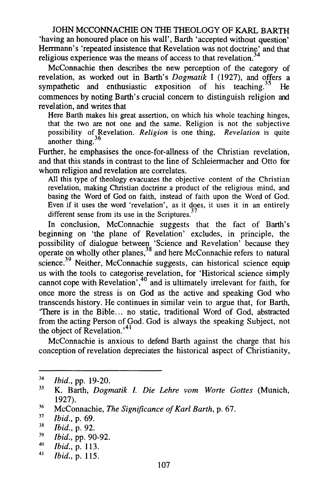JOHN MCCONNACHIE ON THE THEOLOGY OF KARL BARTH 'having an honoured place on his wall', Barth 'accepted without question' Herrmann's 'repeated insistence that Revelation was not doctrine' and that religious experience was the means of access to that revelation.<sup>34</sup>

McConnachie then describes the new perception of the category of revelation, as worked out in Barth's *Dogmatik* I (1927), and offers a sympathetic and enthusiastic exposition of his teaching.<sup>35</sup> He commences by noting Barth's crucial concern to distinguish religion and revelation, and writes that

Here Barth makes his great assertion, on which his whole teaching hinges, that the two are not one and the same. Religion is not the subjective possibility of Revelation. *Religion* is one thing, *Revelation* is quite another thing.  $36$ 

Further, he emphasises the once-for-allness of the Christian revelation, and that this stands in contrast to the line of Schleiermacher and Otto for whom religion and revelation are correlates.

All this type of theology evacuates the objective content of the Christian revelation, making Christian doctrine a product of the religious mind, and basing the Word of God on faith, instead of faith upon the Word of God. Even if it uses the word 'revelation', as it does, it uses it in an entirely different sense from its use in the Scriptures. $3$ 

In conclusion, McConnachie suggests that the fact of Barth's beginning on 'the plane of Revelation' excludes, in principle, the possibility of dialogue between 'Science and Revelation' because they operate on wholly other planes,<sup>38</sup> and here McConnachie refers to natural science.<sup>39</sup> Neither, McConnachie suggests, can historical science equip us with the tools to categorise revelation, for 'Historical science simply cannot cope with Revelation',<sup>40</sup> and is ultimately irrelevant for faith, for once more the stress is on God as the active and speaking God who transcends history. He continues in similar vein to argue that, for Barth, 'There is in the Bible ... no static, traditional Word of God, abstracted from the acting Person of God. God is always the speaking Subject, not the object of Revelation.'<sup>41</sup>

McConnachie is anxious to defend Barth against the charge that his conception of revelation depreciates the historical aspect of Christianity,

<sup>34</sup>  *Ibid.,* pp. 19-20.

<sup>35</sup>  K. Barth, *Dogmatik* I. *Die Lehre vom Worte Gottes* (Munich, 1927).

<sup>36</sup>  McConnachie, *The Significance of Karl Earth,* p. 67.

<sup>37</sup>  *Ibid.,* p. 69.

<sup>3</sup>R *Ibid.,* p. 92.

<sup>39</sup>  *Ibid.,* pp. 90-92.

<sup>40</sup>  *Ibid.,* p. 113.

<sup>41</sup>  *Ibid.,* p. 115.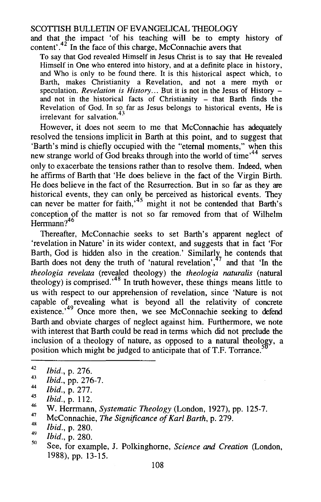and that the impact 'of his teaching will be to empty history of content'.<sup>42</sup> In the face of this charge, McConnachie avers that

To say that God revealed Himself in Jesus Christ is to say that He revealed Himself in One who entered into history, and at a definite place in history, and Who is only to be found there. It is this historical aspect which, to Barth, makes Christianity a Revelation, and not a mere myth or speculation. *Revelation is History...* But it is not in the Jesus of History – and not in the historical facts of Christianity - that Barth finds the Revelation of God. In so far as Jesus belongs to historical events, He is irrelevant for salvation<sup>43</sup>

However, it does not seem to me that McConnachie has adequately resolved the tensions implicit in Barth at this point, and to suggest that 'Barth's mind is chiefly occupied with the "eternal moments," when this new strange world of  $\ddot{\text{God}}$  breaks through into the world of time<sup> $,44$ </sup> serves only to exacerbate the tensions rather than to resolve them. Indeed, when he affirms of Barth that 'He does believe in the fact of the Virgin Birth. He does believe in the fact of the Resurrection. But in so far as they are historical events, they can only be perceived as historical events. They can never be matter for faith,<sup>45</sup> might it not be contended that Barth's conception of the matter is not so far removed from that of Wilhelm Herrmann<sup>946</sup>

Thereafter, McConnachie seeks to set Barth's apparent neglect of 'revelation in Nature' in its wider context, and suggests that in fact 'For Barth, God is hidden also in the creation.' Similarly he contends that Barth does not deny the truth of 'natural revelation',<sup>47</sup> and that 'In the *theologia revelata* (revealed theology) the *theologia naturalis* (natural theology) is comprised.<sup>48</sup> In truth however, these things means little to us with respect to our apprehension of revelation, since 'Nature is not capable of revealing what is beyond all the relativity of concrete existence.<sup>49</sup> Once more then, we see McConnachie seeking to defend Barth and obviate charges of neglect against him. Furthermore, we note with interest that Barth could be read in terms which did not preclude the inclusion of a theology of nature, as opposed to a natural theology, a position which might be judged to anticipate that of T.F. Torrance.<sup>5</sup>

- 43 *Ibid.,* pp. 276-7.
- 44 *Ibid.,* p. 277.
- 45 *Ibid.,* p. 112.

- 47 McConnachie, *The Significance of Karl Earth,* p. 279.
- 4R 49 *Ibid.,* p. 280.
- 50 *Ibid.,* p. 280.
- See, for example, J. Polkinghorne, *Science and Creation* (London, 1988), pp. 13-15.

<sup>42</sup>  *Ibid.,* p. 276.

<sup>46</sup>  W. Herrmann, *Systematic Theology* (London, 1927), pp. 125-7.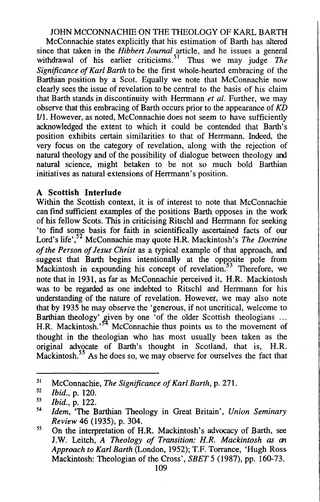# JOHN MCCONNACHIE ON THE THEOLOGY OF KARL BARTH

McConnachie states explicitly that his estimation of Barth has altered since that taken in the *Hibbert Journal* article, and he issues a general withdrawal of his earlier criticisms.<sup>51</sup> Thus we may judge *The Significance of Kart Earth* to be the first whole-hearted embracing of the Barthian position by a Scot. Equally we note that McConnachie now clearly sees the issue of revelation to be central to the basis of his claim that Barth stands in discontinuity with Herrmann *et al.* Further, we may observe that this embracing of Barth occurs prior to the appearance of *KD*  I/1. However, as noted, McConnachie does not seem to have sufficiently acknowledged the extent to which it could be contended that Barth's position exhibits certain similarities to that of Herrmann. Indeed, the very focus on the category of revelation, along with the rejection of natural theology and of the possibility of dialogue between theology and natural science, might betaken to be not so much bold Barthian initiatives as natural extensions of Herrmann's position.

# **A Scottish Interlude**

Within the Scottish context, it is of interest to note that McConnachie can find sufficient examples of the positions Barth opposes in the work of his fellow Scots. This in criticising Ritschl and Herrmann for seeking 'to find some basis for faith in scientifically ascertained facts of our Lord's life' , 52 McConnachie may quote H.R. Mackintosh's *The Doctrine of the Person of Jesus Christ* as a typical example of that approach, and suggest that Barth begins intentionally at the opposite pole from Mackintosh in expounding his concept of revelation.<sup>53</sup> Therefore, we note that in 1931, as far as McConnachie perceived it, H.R. Mackintosh was to be regarded as one indebted to Ritschl and Herrmann for his understanding of the nature of revelation. However, we may also note that by 1935 he may observe the 'generous, if not uncritical, welcome to Barthian theology' given by one 'of the older Scottish theologians ... H.R. Mackintosh.<sup>34</sup> McConnachie thus points us to the movement of thought in the theologian who has most usually been taken as the original advocate of Barth's thought in Scotland, that is, H.R. Mackintosh. *55* As he does so, we may observe for ourselves the fact that

<sup>51</sup>  McConnachie, *The Significance of Kart Earth,* p. 271.

*<sup>52</sup>  Ibid.,* p. 120.

<sup>53</sup>  *Ibid.,* p. 122.

<sup>54</sup>  *Idem,* 'The Barthian Theology in Great Britain', *Union Seminary Review* 46 (1935), p. 304.

*ss*  On the interpretation of H.R. Mackintosh's advocacy of Barth, see J.W. Leitch, *A Theology of Transition: H.R. Mackintosh as an Approach to Karl Earth* (London, 1952); T.F. Torrance, 'Hugh Ross Mackintosh: Theologian of the Cross', *SEET 5* (1987), pp. 160-73.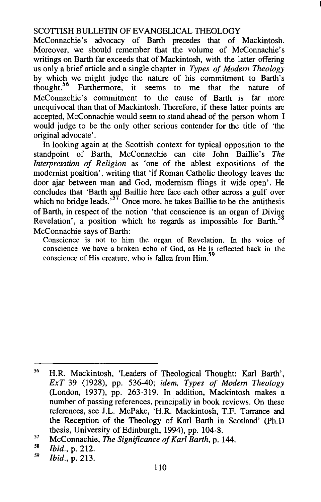McConnachie's advocacy of Barth precedes that of Mackintosh. Moreover, we should remember that the volume of McConnachie's writings on Barth far exceeds that of Mackintosh, with the latter offering us only a brief article and a single chapter in *Types of Modem Theology*  by which we might judge the nature of his commitment to Barth's thought.<sup>56</sup> Furthermore, it seems to me that the nature of thought.56 Furthermore, it seems to me that the nature of McConnachie's commitment to the cause of Barth is far more unequivocal than that of Mackintosh. Therefore, if these latter points are accepted, McConnachie would seem to stand ahead of the person whom I would judge to be the only other serious contender for the title of 'the original advocate'.

In looking again at the Scottish context for typical opposition to the standpoint of Barth, McConnachie can cite John Baillie's *The Interpretation of Religion* as 'one of the ablest expositions of the modernist position', writing that 'if Roman Catholic theology leaves the door ajar between man and God, modernism flings it wide open'. He concludes that 'Barth and Baillie here face each other across a gulf over which no bridge leads.<sup>57</sup> Once more, he takes Baillie to be the antithesis of Barth, in respect of the notion 'that conscience is an organ of Divine Revelation', a position which he regards as impossible for Barth.<sup>58</sup> McConnachie says of Barth:

Conscience is not to him the organ of Revelation. In the voice of conscience we have a broken echo of God, as He is reflected back in the conscience of His creature, who is fallen from Him.<sup>59</sup>

<sup>56</sup>  H.R. Mackintosh, 'Leaders of Theological Thought: Karl Barth', *ExT* 39 (1928), pp. 536-40; *idem, Types of Modem Theology*  (London, 1937), pp. 263-319. In addition, Mackintosh makes a number of passing references, principally in book reviews. On these references, see J.L. McPake, 'H.R. Mackintosh, T.F. Torrance and the Reception of the Theology of Karl Barth in Scotland' (Ph.D thesis, University of Edinburgh, 1994), pp. 104-8.

<sup>57</sup>  McConnachie, *The Significance of Karl Barth,* p. 144.

<sup>58</sup>  *Ibid.,* p. 212.

<sup>59</sup>  *Ibid.,* p. 213.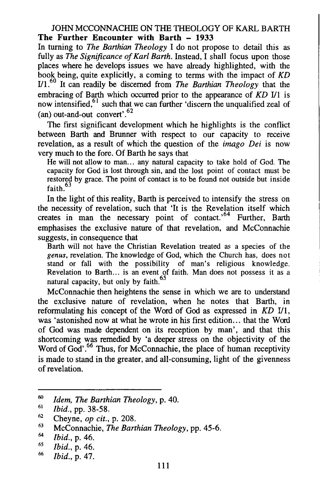## JOHN MCCONNACHIE ON THE THEOLOGY OF KARL BARTH **The Further Encounter with Barth - 1933**

In turning to *The Barthian Theology* I do not propose to detail this as fully as *The Significance of Karl Barth*. Instead, I shall focus upon those places where he develops issues we have already highlighted, with the book being, quite explicitly, a coming to terms with the impact of *KD*  1/1.<sup>60</sup>It can readily be discerned from *The Barthian Theology* that the embracing of Barth which occurred prior to the appearance of *KD I/*1 is now intensified, $61$  such that we can further 'discern the unqualified zeal of (an) out-and-out convert'.<sup>62</sup>

The first significant development which he highlights is the conflict between Barth and Brunner with respect to our capacity to receive revelation, as a result of which the question of the *imago Dei* is now very much to the fore. Of Barth he says that

He will not allow to man... any natural capacity to take hold of God. The capacity for God is lost through sin, and the lost point of contact must be restored by grace. The point of contact is to be found not outside but inside faith.<sup>63</sup>

In the light of this reality, Barth is perceived to intensify the stress on the necessity of revelation, such that 'It is the Revelation itself which creates in man the necessary point of contact.<sup>64</sup> Further, Barth emphasises the exclusive nature of that revelation, and McConnachie suggests, in consequence that

Barth will not have the Christian Revelation treated as a species of the *genus,* revelation. The knowledge of God, which the Church has, does not stand or fall with the possibility of man's religious knowledge. Revelation to Barth... is an event of faith. Man does not possess it as a natural capacity, but only by faith.<sup>65</sup>

McConnachie then heightens the sense in which we are to understand the exclusive nature of revelation, when he notes that Barth, in reformulating his concept of the Word of God as expressed in *KD* I/1, was 'astonished now at what he wrote in his first edition ... that the Word of God was made dependent on its reception by man', and that this shortcoming was remedied by 'a deeper stress on the objectivity of the Word of God'.<sup>66</sup> Thus, for McConnachie, the place of human receptivity is made to stand in the greater, and all-consuming, light of the givenness of revelation.

<sup>60</sup>  *Idem, The Barthian Theology,* p. 40.

<sup>61</sup>  *Ibid.,* pp. 38-58.

<sup>62</sup>  Cheyne, *op cit.,* p. 208.

<sup>63</sup>  McConnachie, *The Barthian Theology,* pp. 45-6.

<sup>64</sup>  *Ibid.,* p. 46.

<sup>65</sup>  *Ibid.,* p. 46.

<sup>66</sup>  *Ibid.,* p. 47.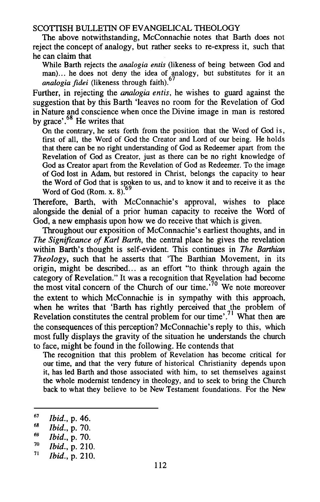The above notwithstanding, McConnachie notes that Barth does not reject the concept of analogy, but rather seeks to re-express it, such that he can claim that

While Barth rejects the *analogia entis* (likeness of being between God and man)... he does not deny the idea of analogy, but substitutes for it an *analogia fidei* (likeness through faith).<sup>67</sup>

Further, in rejecting the *analogia entis,* he wishes to guard against the suggestion that by this Barth 'leaves no room for the Revelation of God in Nature and conscience when once the Divine image in man is restored by grace'.<sup>68</sup> He writes that

On the contrary, he sets forth from the position that the Word of God is, tirst of all, the Word of God the Creator and Lord of our being. He holds that there can be no right understanding of God as Redeemer apart from the Revelation of God as Creator, just as there can be no right knowledge of God as Creator apart from the Revelation of God as Redeemer. To the image of God lost in Adam, but restored in Christ, belongs the capacity to hear the Word of God that is spoken to us, and to know it and to receive it as the Word of God (Rom.  $x$ , 8).

Therefore, Barth, with McConnachie's approval, wishes to place alongside the denial of a prior human capacity to receive the Word of God, a new emphasis upon how we do receive that which is given.

Throughout our exposition of McConnachie's earliest thoughts, and in *The Significance of Karl Earth,* the central place he gives the revelation within Barth's thought is self-evident. This continues in *The Barthian Theology,* such that he asserts that 'The Barthian Movement, in its origin, might be described... as an effort "to think through again the category of Revelation." It was a recognition that Revelation had become the most vital concern of the Church of our time.<sup>'70</sup> We note moreover the extent to which McConnachie is in sympathy with this approach, when he writes that 'Barth has rightly perceived that the problem of Revelation constitutes the central problem for our time'.<sup>71</sup> What then are the consequences of this perception? McConnachie's reply to this, which most fully displays the gravity of the situation he understands the church to face, might be found in the following. He contends that

The recognition that this problem of Revelation has become critical for our time, and that the very future of historical Christianity depends upon it, has led Barth and those associated with him, to set themselves against the whole modernist tendency in theology, and to seek to bring the Church back to what they believe to be New Testament foundations. For the New

70 *Ibid.,* p. 210.

<sup>67</sup>  *Ibid.,* p. 46.

<sup>68</sup>  *Ibid.,* p. 70.

<sup>69</sup>  *Ibid.,* p. 70.

<sup>71</sup>  *Ibid.,* p. 210.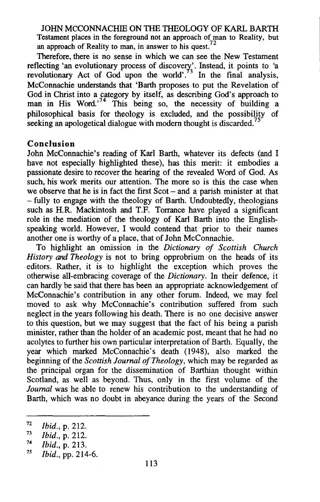JOHN MCCONNACHIE ON THE THEOLOGY OF KARL BARTH Testament places in the foreground not an approach of man to Reality, but an approach of Reality to man, in answer to his quest.<sup>72</sup>

Therefore, there is no sense in which we can see the New Testament reflecting 'an evolutionary process of discovery'. Instead, it points to 'a revolutionary Act of God upon the world'.<sup>73</sup> In the final analysis, McConnachie understands that 'Barth proposes to put the Revelation of God in Christ into a category by itself, as describing God's approach to man in His Word.<sup>74</sup> This being so, the necessity of building a philosophical basis for theology is excluded, and the possibility of seeking an apologetical dialogue with modern thought is discarded.<sup>7</sup>

## **Conclusion**

John McConnachie's reading of Karl Barth, whatever its defects (and I have not especially highlighted these), has this merit: it embodies a passionate desire to recover the hearing of the revealed Word of God. As such, his work merits our attention. The more so is this the case when we observe that he is in fact the first  $S\cot -$  and a parish minister at that -fully to engage with the theology of Barth. Undoubtedly, theologians such as H.R. Mackintosh and T.F. Torrance have played a significant role in the mediation of the theology of Karl Barth into the Englishspeaking world. However, I would contend that prior to their names another one is worthy of a place, that of John McConnachie.

To highlight an omission in the *Dictionary of Scottish Church History* and *Theology* is not to bring opprobrium on the heads of its editors. Rather, it is to highlight the exception which proves the otherwise all-embracing coverage of the *Dictionary.* In their defence, it can hardly be said that there has been an appropriate acknowledgement of McConnachie's contribution in any other forum. Indeed, we may feel moved to ask why McConnachie's contribution suffered from such neglect in the years following his death. There is no one decisive answer to this question, but we may suggest that the fact of his being a parish minister, rather than the holder of an academic post, meant that he had no acolytes to further his own particular interpretation of Barth. Equally, the year which marked McConnachie's death (1948), also marked the beginning of the *Scottish Journal of Theology,* which may be regarded as the principal organ for the dissemination of Barthian thought within Scotland, as well as beyond. Thus, only in the first volume of the *Journal* was he able to renew his contribution to the understanding of Barth, which was no doubt in abeyance during the years of the Second

<sup>72</sup>  *Ibid.,* p. 212.

<sup>73</sup>  *Ibid.,* p. 212.

<sup>74</sup>  *Ibid.,* p. 213.

<sup>75</sup>  *Ibid.,* pp. 214-6.